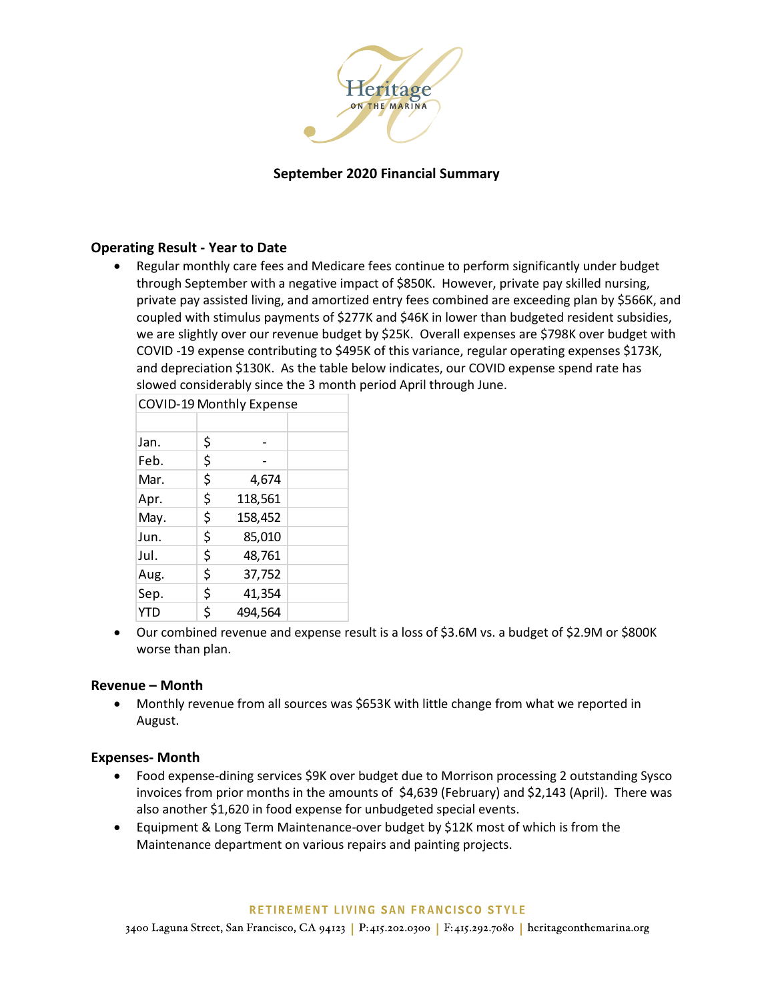

# **September 2020 Financial Summary**

### **Operating Result - Year to Date**

 Regular monthly care fees and Medicare fees continue to perform significantly under budget through September with a negative impact of \$850K. However, private pay skilled nursing, private pay assisted living, and amortized entry fees combined are exceeding plan by \$566K, and coupled with stimulus payments of \$277K and \$46K in lower than budgeted resident subsidies, we are slightly over our revenue budget by \$25K. Overall expenses are \$798K over budget with COVID -19 expense contributing to \$495K of this variance, regular operating expenses \$173K, and depreciation \$130K. As the table below indicates, our COVID expense spend rate has slowed considerably since the 3 month period April through June.

|      | <b>COVID-19 Monthly Expense</b> |  |
|------|---------------------------------|--|
|      |                                 |  |
| Jan. | \$                              |  |
| Feb. | \$                              |  |
| Mar. | \$<br>4,674                     |  |
| Apr. | \$<br>118,561                   |  |
| May. | \$<br>158,452                   |  |
| Jun. | \$<br>85,010                    |  |
| Jul. | \$<br>48,761                    |  |
| Aug. | \$<br>37,752                    |  |
| Sep. | \$<br>41,354                    |  |
| YTD  | \$<br>494,564                   |  |

 Our combined revenue and expense result is a loss of \$3.6M vs. a budget of \$2.9M or \$800K worse than plan.

#### **Revenue – Month**

 Monthly revenue from all sources was \$653K with little change from what we reported in August.

#### **Expenses- Month**

- Food expense-dining services \$9K over budget due to Morrison processing 2 outstanding Sysco invoices from prior months in the amounts of \$4,639 (February) and \$2,143 (April). There was also another \$1,620 in food expense for unbudgeted special events.
- Equipment & Long Term Maintenance-over budget by \$12K most of which is from the Maintenance department on various repairs and painting projects.

#### RETIREMENT LIVING SAN FRANCISCO STYLE

3400 Laguna Street, San Francisco, CA 94123 | P:415.202.0300 | F:415.292.7080 | heritageonthemarina.org